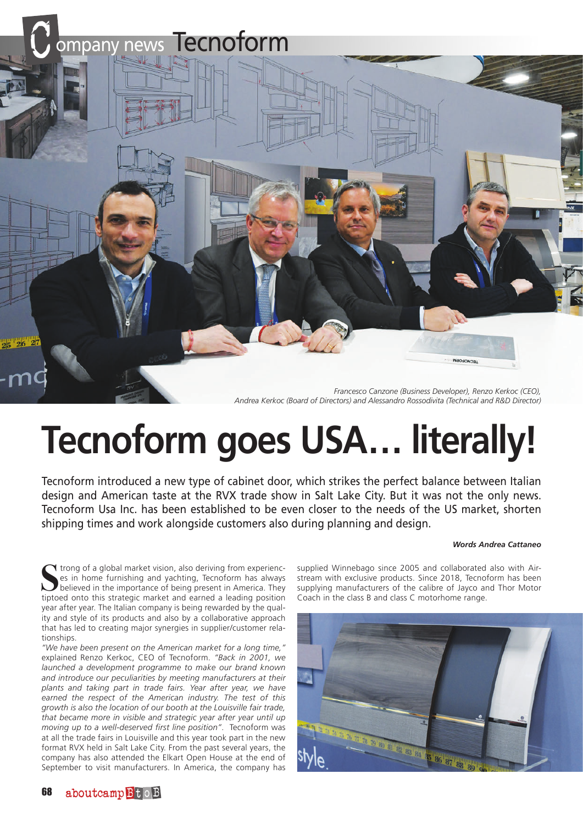

# **Tecnoform goes USA… literally!**

Tecnoform introduced a new type of cabinet door, which strikes the perfect balance between Italian design and American taste at the RVX trade show in Salt Lake City. But it was not the only news. Tecnoform Usa Inc. has been established to be even closer to the needs of the US market, shorten shipping times and work alongside customers also during planning and design.

#### *Words Andrea Cattaneo*

Strong of a global market vision, also deriving from experiences in home furnishing and yachting, Tecnoform has always believed in the importance of being present in America. They tiptoed onto this strategic market and ear If trong of a global market vision, also deriving from experiences in home furnishing and yachting, Tecnoform has always believed in the importance of being present in America. They year after year. The Italian company is being rewarded by the quality and style of its products and also by a collaborative approach that has led to creating major synergies in supplier/customer relationships.

*"We have been present on the American market for a long time,"*  explained Renzo Kerkoc, CEO of Tecnoform. *"Back in 2001, we launched a development programme to make our brand known and introduce our peculiarities by meeting manufacturers at their plants and taking part in trade fairs. Year after year, we have earned the respect of the American industry. The test of this growth is also the location of our booth at the Louisville fair trade, that became more in visible and strategic year after year until up moving up to a well-deserved first line position"*. Tecnoform was at all the trade fairs in Louisville and this year took part in the new format RVX held in Salt Lake City. From the past several years, the company has also attended the Elkart Open House at the end of September to visit manufacturers. In America, the company has supplied Winnebago since 2005 and collaborated also with Airstream with exclusive products. Since 2018, Tecnoform has been supplying manufacturers of the calibre of Jayco and Thor Motor Coach in the class B and class C motorhome range.